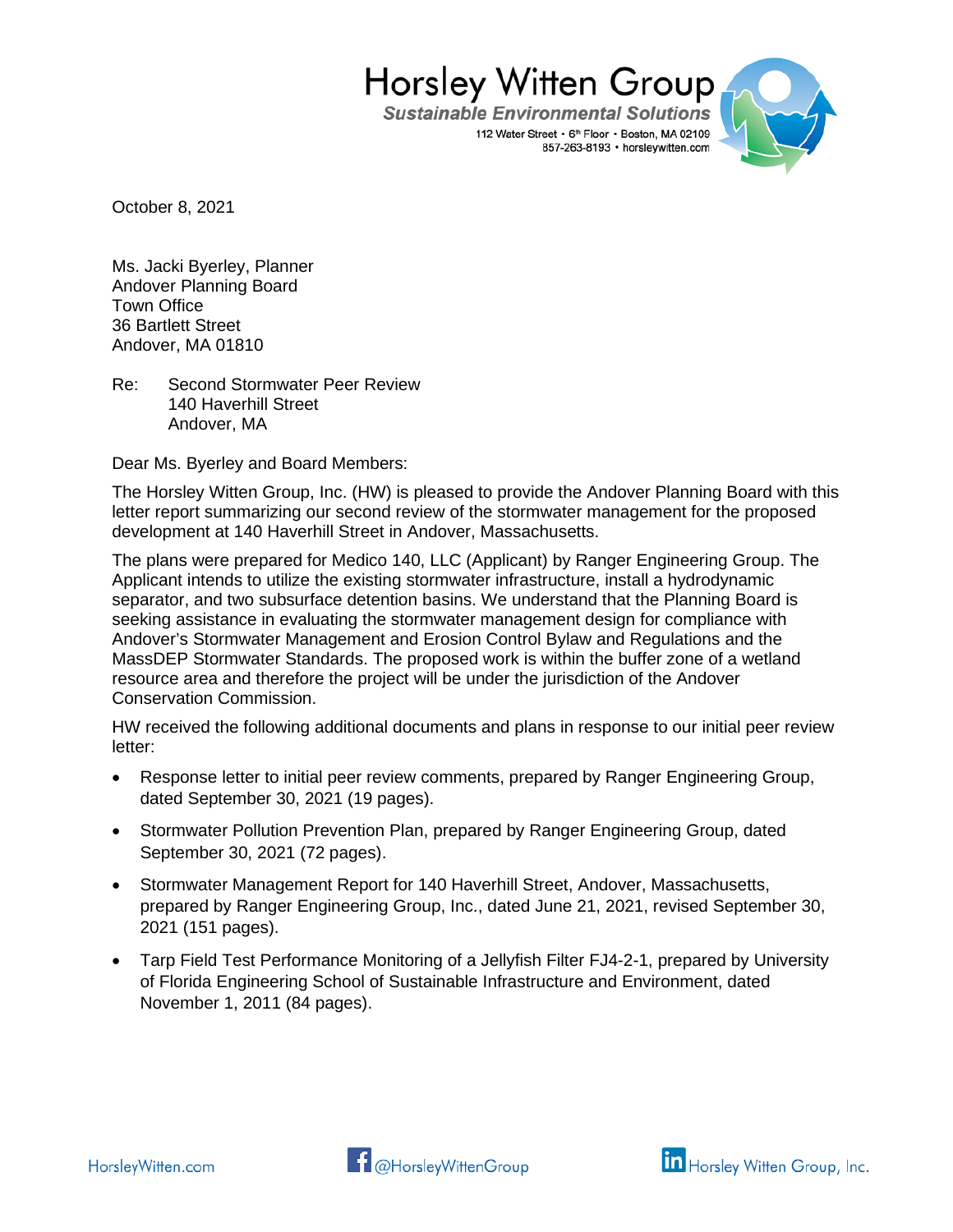**Sustainable Environmental Solutions** 112 Water Street • 6th Floor • Boston, MA 02109 857-263-8193 · horsleywitten.com



October 8, 2021

Ms. Jacki Byerley, Planner Andover Planning Board Town Office 36 Bartlett Street Andover, MA 01810

Re: Second Stormwater Peer Review 140 Haverhill Street Andover, MA

Dear Ms. Byerley and Board Members:

The Horsley Witten Group, Inc. (HW) is pleased to provide the Andover Planning Board with this letter report summarizing our second review of the stormwater management for the proposed development at 140 Haverhill Street in Andover, Massachusetts.

The plans were prepared for Medico 140, LLC (Applicant) by Ranger Engineering Group. The Applicant intends to utilize the existing stormwater infrastructure, install a hydrodynamic separator, and two subsurface detention basins. We understand that the Planning Board is seeking assistance in evaluating the stormwater management design for compliance with Andover's Stormwater Management and Erosion Control Bylaw and Regulations and the MassDEP Stormwater Standards. The proposed work is within the buffer zone of a wetland resource area and therefore the project will be under the jurisdiction of the Andover Conservation Commission.

HW received the following additional documents and plans in response to our initial peer review letter:

- Response letter to initial peer review comments, prepared by Ranger Engineering Group, dated September 30, 2021 (19 pages).
- Stormwater Pollution Prevention Plan, prepared by Ranger Engineering Group, dated September 30, 2021 (72 pages).
- Stormwater Management Report for 140 Haverhill Street, Andover, Massachusetts, prepared by Ranger Engineering Group, Inc., dated June 21, 2021, revised September 30, 2021 (151 pages).
- Tarp Field Test Performance Monitoring of a Jellyfish Filter FJ4-2-1, prepared by University of Florida Engineering School of Sustainable Infrastructure and Environment, dated November 1, 2011 (84 pages).



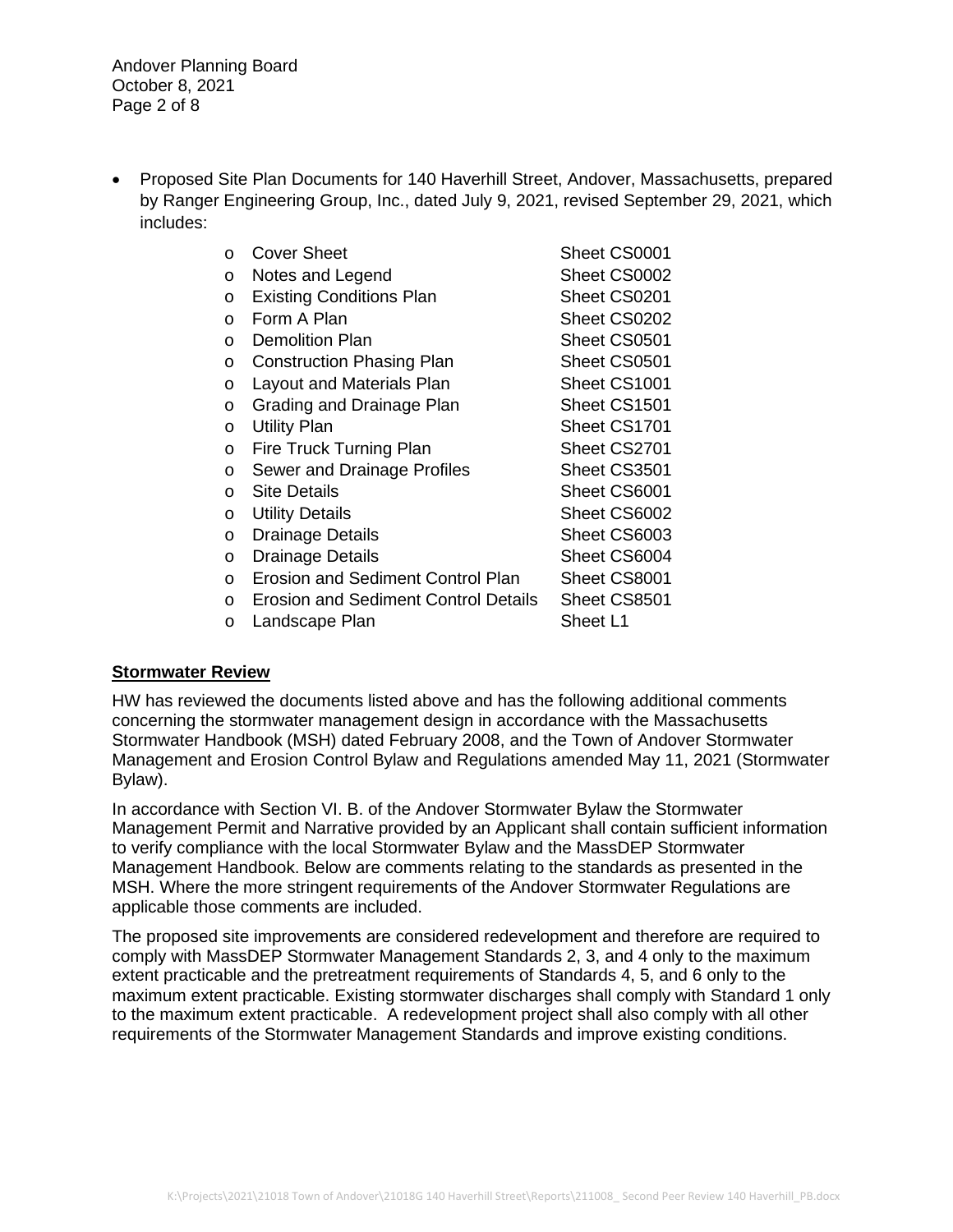Andover Planning Board October 8, 2021 Page 2 of 8

• Proposed Site Plan Documents for 140 Haverhill Street, Andover, Massachusetts, prepared by Ranger Engineering Group, Inc., dated July 9, 2021, revised September 29, 2021, which includes:

| O        | Cover Sheet                                 | Sheet CS0001 |
|----------|---------------------------------------------|--------------|
| O        | Notes and Legend                            | Sheet CS0002 |
| $\circ$  | <b>Existing Conditions Plan</b>             | Sheet CS0201 |
| O        | Form A Plan                                 | Sheet CS0202 |
| O        | Demolition Plan                             | Sheet CS0501 |
| O        | <b>Construction Phasing Plan</b>            | Sheet CS0501 |
| O        | Layout and Materials Plan                   | Sheet CS1001 |
| O        | Grading and Drainage Plan                   | Sheet CS1501 |
| O        | <b>Utility Plan</b>                         | Sheet CS1701 |
| $\circ$  | Fire Truck Turning Plan                     | Sheet CS2701 |
| O        | Sewer and Drainage Profiles                 | Sheet CS3501 |
| $\circ$  | <b>Site Details</b>                         | Sheet CS6001 |
| O        | <b>Utility Details</b>                      | Sheet CS6002 |
| $\circ$  | Drainage Details                            | Sheet CS6003 |
| $\circ$  | <b>Drainage Details</b>                     | Sheet CS6004 |
| $\Omega$ | <b>Erosion and Sediment Control Plan</b>    | Sheet CS8001 |
| $\circ$  | <b>Erosion and Sediment Control Details</b> | Sheet CS8501 |
| O        | Landscape Plan                              | Sheet L1     |

### **Stormwater Review**

HW has reviewed the documents listed above and has the following additional comments concerning the stormwater management design in accordance with the Massachusetts Stormwater Handbook (MSH) dated February 2008, and the Town of Andover Stormwater Management and Erosion Control Bylaw and Regulations amended May 11, 2021 (Stormwater Bylaw).

In accordance with Section VI. B. of the Andover Stormwater Bylaw the Stormwater Management Permit and Narrative provided by an Applicant shall contain sufficient information to verify compliance with the local Stormwater Bylaw and the MassDEP Stormwater Management Handbook. Below are comments relating to the standards as presented in the MSH. Where the more stringent requirements of the Andover Stormwater Regulations are applicable those comments are included.

The proposed site improvements are considered redevelopment and therefore are required to comply with MassDEP Stormwater Management Standards 2, 3, and 4 only to the maximum extent practicable and the pretreatment requirements of Standards 4, 5, and 6 only to the maximum extent practicable. Existing stormwater discharges shall comply with Standard 1 only to the maximum extent practicable. A redevelopment project shall also comply with all other requirements of the Stormwater Management Standards and improve existing conditions.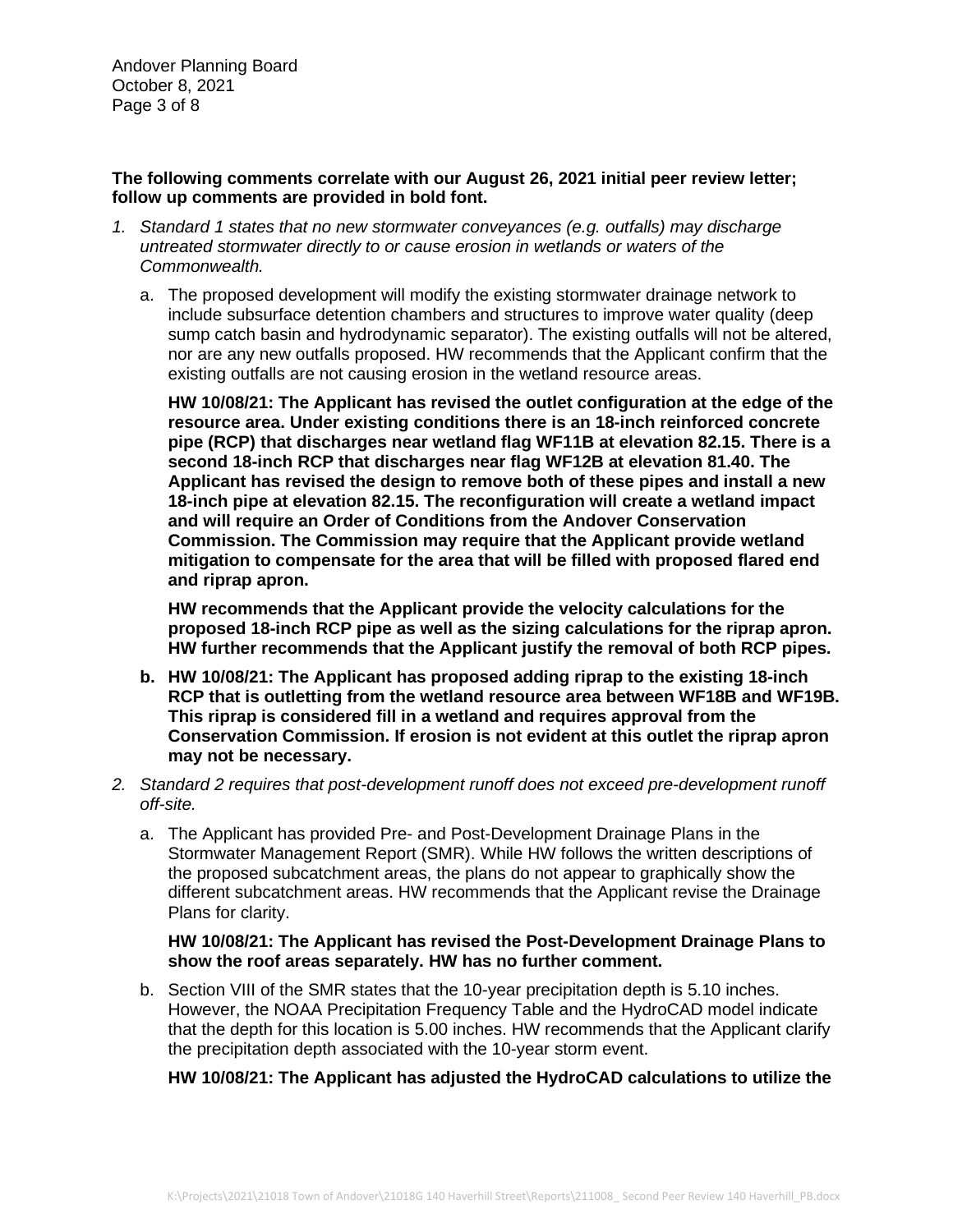Andover Planning Board October 8, 2021 Page 3 of 8

#### **The following comments correlate with our August 26, 2021 initial peer review letter; follow up comments are provided in bold font.**

- *1. Standard 1 states that no new stormwater conveyances (e.g. outfalls) may discharge untreated stormwater directly to or cause erosion in wetlands or waters of the Commonwealth.*
	- a. The proposed development will modify the existing stormwater drainage network to include subsurface detention chambers and structures to improve water quality (deep sump catch basin and hydrodynamic separator). The existing outfalls will not be altered, nor are any new outfalls proposed. HW recommends that the Applicant confirm that the existing outfalls are not causing erosion in the wetland resource areas.

**HW 10/08/21: The Applicant has revised the outlet configuration at the edge of the resource area. Under existing conditions there is an 18-inch reinforced concrete pipe (RCP) that discharges near wetland flag WF11B at elevation 82.15. There is a second 18-inch RCP that discharges near flag WF12B at elevation 81.40. The Applicant has revised the design to remove both of these pipes and install a new 18-inch pipe at elevation 82.15. The reconfiguration will create a wetland impact and will require an Order of Conditions from the Andover Conservation Commission. The Commission may require that the Applicant provide wetland mitigation to compensate for the area that will be filled with proposed flared end and riprap apron.**

**HW recommends that the Applicant provide the velocity calculations for the proposed 18-inch RCP pipe as well as the sizing calculations for the riprap apron. HW further recommends that the Applicant justify the removal of both RCP pipes.**

- **b. HW 10/08/21: The Applicant has proposed adding riprap to the existing 18-inch RCP that is outletting from the wetland resource area between WF18B and WF19B. This riprap is considered fill in a wetland and requires approval from the Conservation Commission. If erosion is not evident at this outlet the riprap apron may not be necessary.**
- *2. Standard 2 requires that post-development runoff does not exceed pre-development runoff off-site.*
	- a. The Applicant has provided Pre- and Post-Development Drainage Plans in the Stormwater Management Report (SMR). While HW follows the written descriptions of the proposed subcatchment areas, the plans do not appear to graphically show the different subcatchment areas. HW recommends that the Applicant revise the Drainage Plans for clarity.

# **HW 10/08/21: The Applicant has revised the Post-Development Drainage Plans to show the roof areas separately. HW has no further comment.**

b. Section VIII of the SMR states that the 10-year precipitation depth is 5.10 inches. However, the NOAA Precipitation Frequency Table and the HydroCAD model indicate that the depth for this location is 5.00 inches. HW recommends that the Applicant clarify the precipitation depth associated with the 10-year storm event.

# **HW 10/08/21: The Applicant has adjusted the HydroCAD calculations to utilize the**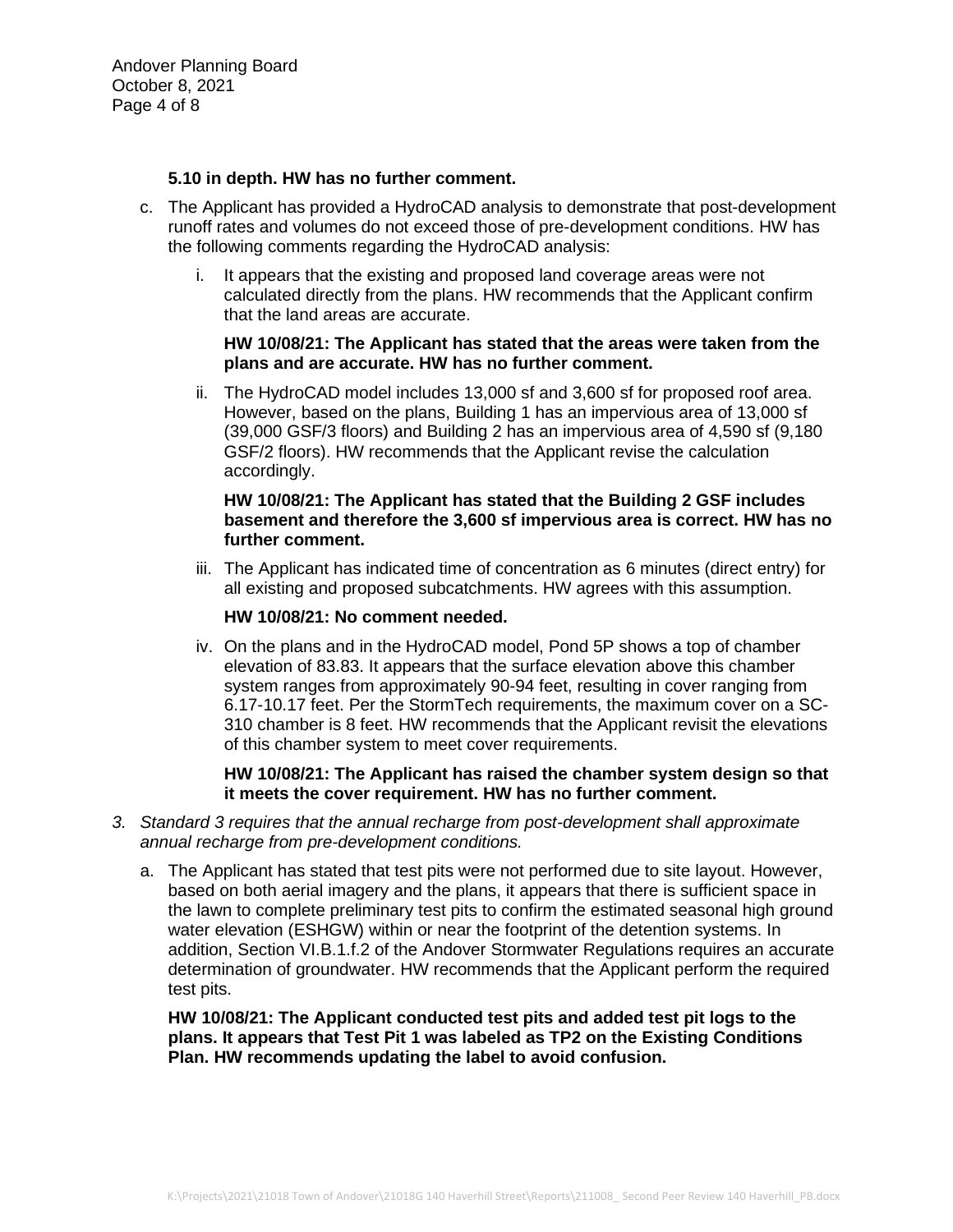Andover Planning Board October 8, 2021 Page 4 of 8

# **5.10 in depth. HW has no further comment.**

- c. The Applicant has provided a HydroCAD analysis to demonstrate that post-development runoff rates and volumes do not exceed those of pre-development conditions. HW has the following comments regarding the HydroCAD analysis:
	- i. It appears that the existing and proposed land coverage areas were not calculated directly from the plans. HW recommends that the Applicant confirm that the land areas are accurate.

### **HW 10/08/21: The Applicant has stated that the areas were taken from the plans and are accurate. HW has no further comment.**

ii. The HydroCAD model includes 13,000 sf and 3,600 sf for proposed roof area. However, based on the plans, Building 1 has an impervious area of 13,000 sf (39,000 GSF/3 floors) and Building 2 has an impervious area of 4,590 sf (9,180 GSF/2 floors). HW recommends that the Applicant revise the calculation accordingly.

# **HW 10/08/21: The Applicant has stated that the Building 2 GSF includes basement and therefore the 3,600 sf impervious area is correct. HW has no further comment.**

iii. The Applicant has indicated time of concentration as 6 minutes (direct entry) for all existing and proposed subcatchments. HW agrees with this assumption.

### **HW 10/08/21: No comment needed.**

iv. On the plans and in the HydroCAD model, Pond 5P shows a top of chamber elevation of 83.83. It appears that the surface elevation above this chamber system ranges from approximately 90-94 feet, resulting in cover ranging from 6.17-10.17 feet. Per the StormTech requirements, the maximum cover on a SC-310 chamber is 8 feet. HW recommends that the Applicant revisit the elevations of this chamber system to meet cover requirements.

### **HW 10/08/21: The Applicant has raised the chamber system design so that it meets the cover requirement. HW has no further comment.**

- *3. Standard 3 requires that the annual recharge from post-development shall approximate annual recharge from pre-development conditions.*
	- a. The Applicant has stated that test pits were not performed due to site layout. However, based on both aerial imagery and the plans, it appears that there is sufficient space in the lawn to complete preliminary test pits to confirm the estimated seasonal high ground water elevation (ESHGW) within or near the footprint of the detention systems. In addition, Section VI.B.1.f.2 of the Andover Stormwater Regulations requires an accurate determination of groundwater. HW recommends that the Applicant perform the required test pits.

**HW 10/08/21: The Applicant conducted test pits and added test pit logs to the plans. It appears that Test Pit 1 was labeled as TP2 on the Existing Conditions Plan. HW recommends updating the label to avoid confusion.**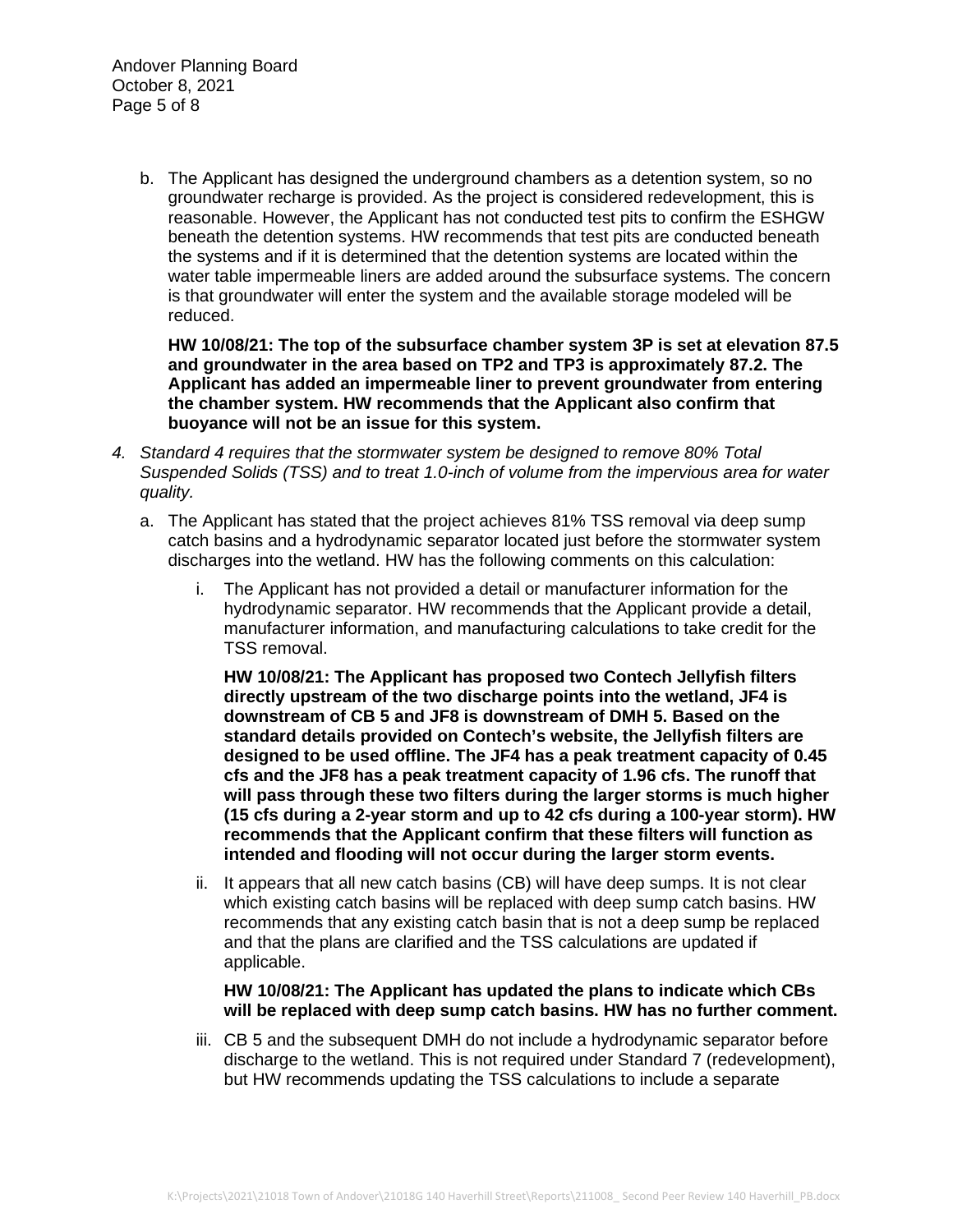Andover Planning Board October 8, 2021 Page 5 of 8

> b. The Applicant has designed the underground chambers as a detention system, so no groundwater recharge is provided. As the project is considered redevelopment, this is reasonable. However, the Applicant has not conducted test pits to confirm the ESHGW beneath the detention systems. HW recommends that test pits are conducted beneath the systems and if it is determined that the detention systems are located within the water table impermeable liners are added around the subsurface systems. The concern is that groundwater will enter the system and the available storage modeled will be reduced.

**HW 10/08/21: The top of the subsurface chamber system 3P is set at elevation 87.5 and groundwater in the area based on TP2 and TP3 is approximately 87.2. The Applicant has added an impermeable liner to prevent groundwater from entering the chamber system. HW recommends that the Applicant also confirm that buoyance will not be an issue for this system.**

- *4. Standard 4 requires that the stormwater system be designed to remove 80% Total Suspended Solids (TSS) and to treat 1.0-inch of volume from the impervious area for water quality.*
	- a. The Applicant has stated that the project achieves 81% TSS removal via deep sump catch basins and a hydrodynamic separator located just before the stormwater system discharges into the wetland. HW has the following comments on this calculation:
		- i. The Applicant has not provided a detail or manufacturer information for the hydrodynamic separator. HW recommends that the Applicant provide a detail, manufacturer information, and manufacturing calculations to take credit for the TSS removal.

**HW 10/08/21: The Applicant has proposed two Contech Jellyfish filters directly upstream of the two discharge points into the wetland, JF4 is downstream of CB 5 and JF8 is downstream of DMH 5. Based on the standard details provided on Contech's website, the Jellyfish filters are designed to be used offline. The JF4 has a peak treatment capacity of 0.45 cfs and the JF8 has a peak treatment capacity of 1.96 cfs. The runoff that will pass through these two filters during the larger storms is much higher (15 cfs during a 2-year storm and up to 42 cfs during a 100-year storm). HW recommends that the Applicant confirm that these filters will function as intended and flooding will not occur during the larger storm events.**

ii. It appears that all new catch basins (CB) will have deep sumps. It is not clear which existing catch basins will be replaced with deep sump catch basins. HW recommends that any existing catch basin that is not a deep sump be replaced and that the plans are clarified and the TSS calculations are updated if applicable.

**HW 10/08/21: The Applicant has updated the plans to indicate which CBs will be replaced with deep sump catch basins. HW has no further comment.**

iii. CB 5 and the subsequent DMH do not include a hydrodynamic separator before discharge to the wetland. This is not required under Standard 7 (redevelopment), but HW recommends updating the TSS calculations to include a separate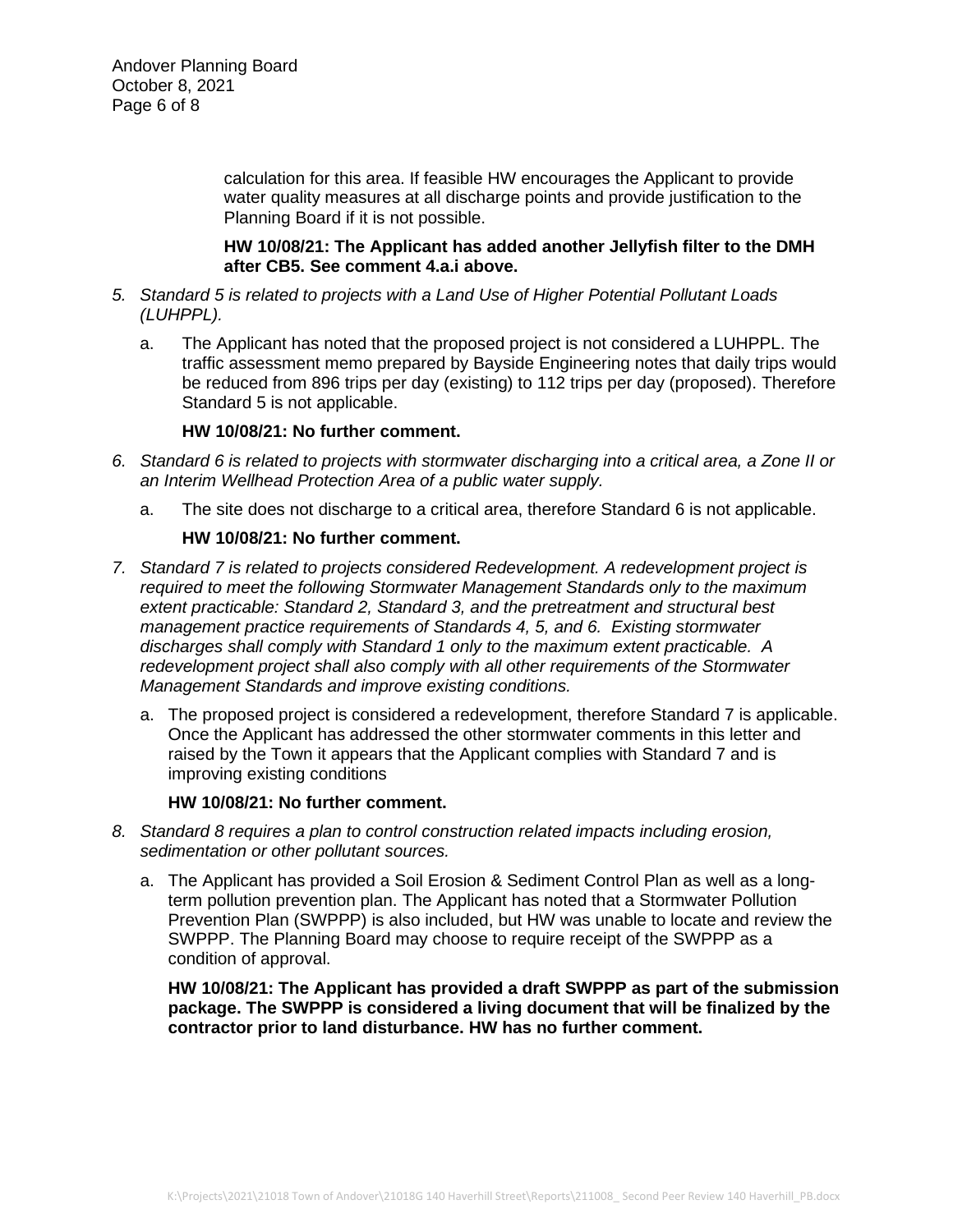calculation for this area. If feasible HW encourages the Applicant to provide water quality measures at all discharge points and provide justification to the Planning Board if it is not possible.

**HW 10/08/21: The Applicant has added another Jellyfish filter to the DMH after CB5. See comment 4.a.i above.**

- *5. Standard 5 is related to projects with a Land Use of Higher Potential Pollutant Loads (LUHPPL).*
	- a. The Applicant has noted that the proposed project is not considered a LUHPPL. The traffic assessment memo prepared by Bayside Engineering notes that daily trips would be reduced from 896 trips per day (existing) to 112 trips per day (proposed). Therefore Standard 5 is not applicable.

### **HW 10/08/21: No further comment.**

- *6. Standard 6 is related to projects with stormwater discharging into a critical area, a Zone II or an Interim Wellhead Protection Area of a public water supply.*
	- a. The site does not discharge to a critical area, therefore Standard 6 is not applicable.

# **HW 10/08/21: No further comment.**

- *7. Standard 7 is related to projects considered Redevelopment. A redevelopment project is required to meet the following Stormwater Management Standards only to the maximum extent practicable: Standard 2, Standard 3, and the pretreatment and structural best management practice requirements of Standards 4, 5, and 6. Existing stormwater discharges shall comply with Standard 1 only to the maximum extent practicable. A redevelopment project shall also comply with all other requirements of the Stormwater Management Standards and improve existing conditions.*
	- a. The proposed project is considered a redevelopment, therefore Standard 7 is applicable. Once the Applicant has addressed the other stormwater comments in this letter and raised by the Town it appears that the Applicant complies with Standard 7 and is improving existing conditions

### **HW 10/08/21: No further comment.**

- *8. Standard 8 requires a plan to control construction related impacts including erosion, sedimentation or other pollutant sources.*
	- a. The Applicant has provided a Soil Erosion & Sediment Control Plan as well as a longterm pollution prevention plan. The Applicant has noted that a Stormwater Pollution Prevention Plan (SWPPP) is also included, but HW was unable to locate and review the SWPPP. The Planning Board may choose to require receipt of the SWPPP as a condition of approval.

**HW 10/08/21: The Applicant has provided a draft SWPPP as part of the submission package. The SWPPP is considered a living document that will be finalized by the contractor prior to land disturbance. HW has no further comment.**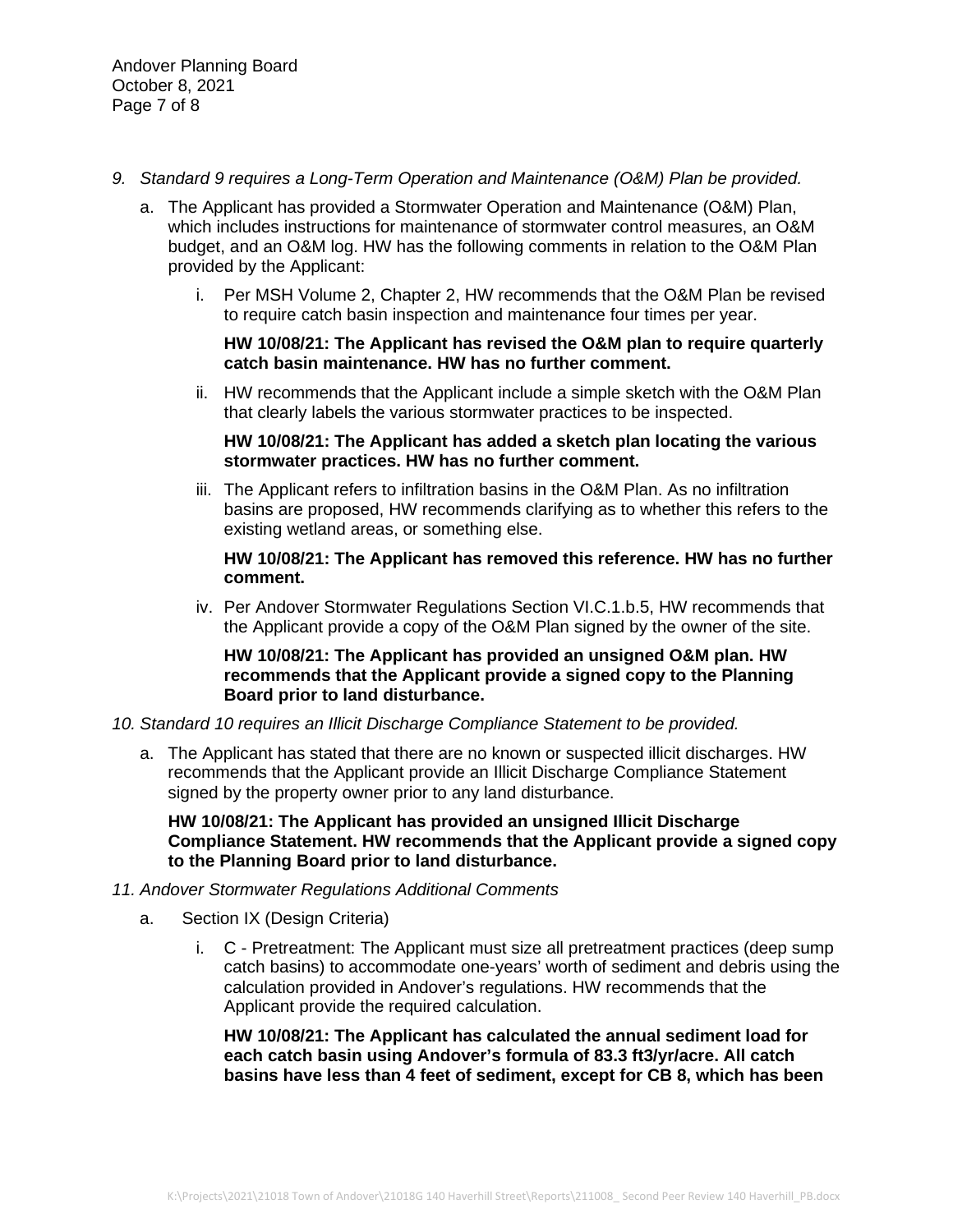- *9. Standard 9 requires a Long-Term Operation and Maintenance (O&M) Plan be provided.*
	- a. The Applicant has provided a Stormwater Operation and Maintenance (O&M) Plan, which includes instructions for maintenance of stormwater control measures, an O&M budget, and an O&M log. HW has the following comments in relation to the O&M Plan provided by the Applicant:
		- i. Per MSH Volume 2, Chapter 2, HW recommends that the O&M Plan be revised to require catch basin inspection and maintenance four times per year.

### **HW 10/08/21: The Applicant has revised the O&M plan to require quarterly catch basin maintenance. HW has no further comment.**

ii. HW recommends that the Applicant include a simple sketch with the O&M Plan that clearly labels the various stormwater practices to be inspected.

# **HW 10/08/21: The Applicant has added a sketch plan locating the various stormwater practices. HW has no further comment.**

iii. The Applicant refers to infiltration basins in the O&M Plan. As no infiltration basins are proposed, HW recommends clarifying as to whether this refers to the existing wetland areas, or something else.

# **HW 10/08/21: The Applicant has removed this reference. HW has no further comment.**

iv. Per Andover Stormwater Regulations Section VI.C.1.b.5, HW recommends that the Applicant provide a copy of the O&M Plan signed by the owner of the site.

# **HW 10/08/21: The Applicant has provided an unsigned O&M plan. HW recommends that the Applicant provide a signed copy to the Planning Board prior to land disturbance.**

### *10. Standard 10 requires an Illicit Discharge Compliance Statement to be provided.*

a. The Applicant has stated that there are no known or suspected illicit discharges. HW recommends that the Applicant provide an Illicit Discharge Compliance Statement signed by the property owner prior to any land disturbance.

**HW 10/08/21: The Applicant has provided an unsigned Illicit Discharge Compliance Statement. HW recommends that the Applicant provide a signed copy to the Planning Board prior to land disturbance.**

# *11. Andover Stormwater Regulations Additional Comments*

- a. Section IX (Design Criteria)
	- i. C Pretreatment: The Applicant must size all pretreatment practices (deep sump catch basins) to accommodate one-years' worth of sediment and debris using the calculation provided in Andover's regulations. HW recommends that the Applicant provide the required calculation.

**HW 10/08/21: The Applicant has calculated the annual sediment load for each catch basin using Andover's formula of 83.3 ft3/yr/acre. All catch basins have less than 4 feet of sediment, except for CB 8, which has been**